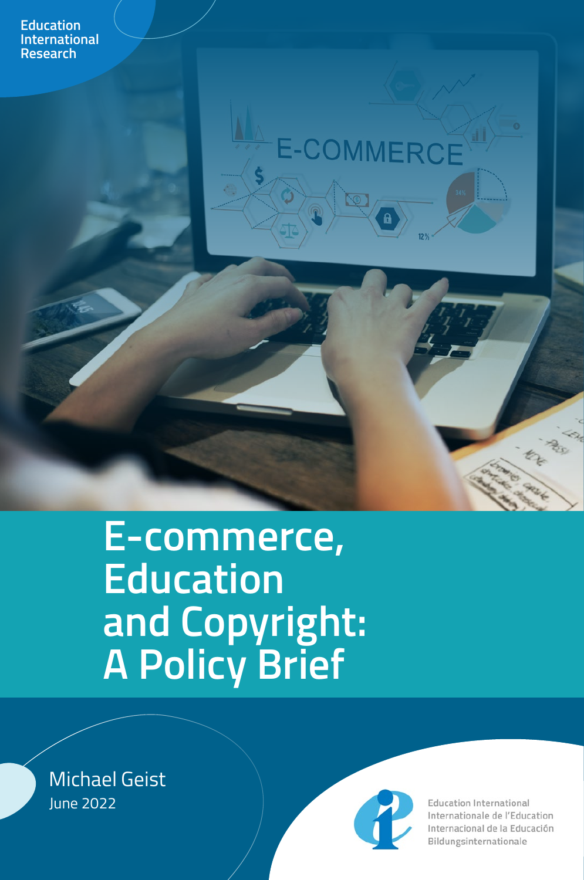

# E-COMMERCE

# **E-commerce, Education and Copyright: A Policy Brief**

Michael Geist June 2022



**Education International** Internationale de l'Education Internacional de la Educación Bildungsinternationale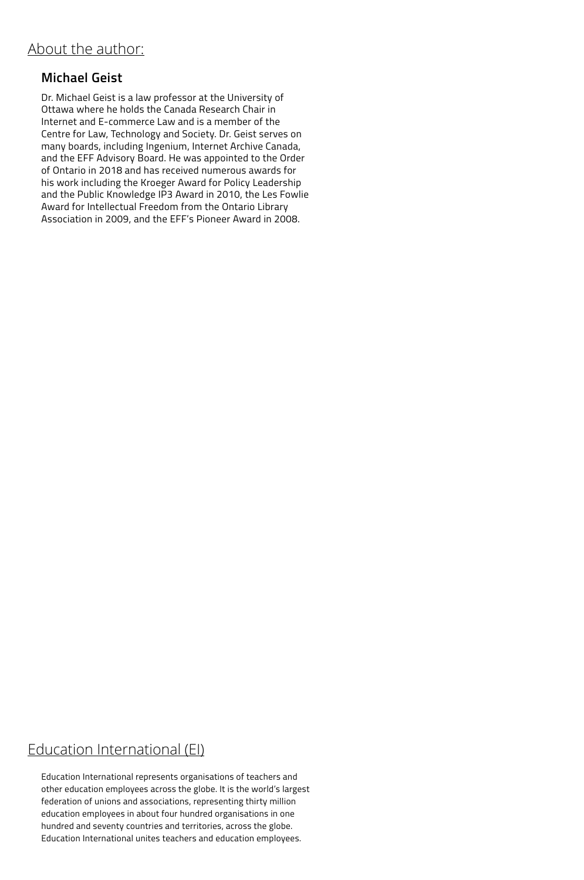#### **Michael Geist**

Dr. Michael Geist is a law professor at the University of Ottawa where he holds the Canada Research Chair in Internet and E-commerce Law and is a member of the Centre for Law, Technology and Society. Dr. Geist serves on many boards, including Ingenium, Internet Archive Canada, and the EFF Advisory Board. He was appointed to the Order of Ontario in 2018 and has received numerous awards for his work including the Kroeger Award for Policy Leadership and the Public Knowledge IP3 Award in 2010, the Les Fowlie Award for Intellectual Freedom from the Ontario Library Association in 2009, and the EFF's Pioneer Award in 2008.

#### Education International (EI)

Education International represents organisations of teachers and other education employees across the globe. It is the world's largest federation of unions and associations, representing thirty million education employees in about four hundred organisations in one hundred and seventy countries and territories, across the globe. Education International unites teachers and education employees.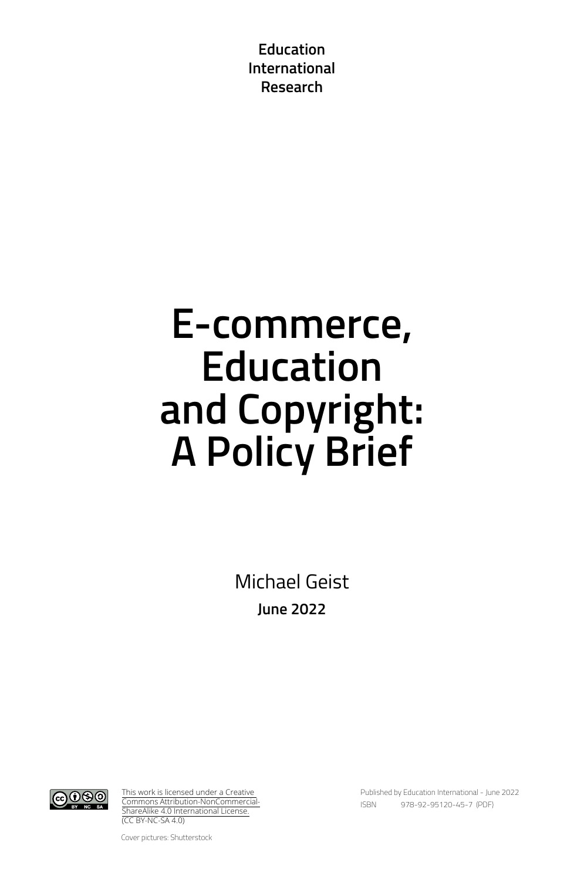**Education International Research**

# **E-commerce, Education and Copyright: A Policy Brief**

Michael Geist **June 2022**



[This work is licensed under a Creative](https://creativecommons.org/licenses/by-nc-sa/4.0/)  [Commons Attribution-NonCommercial-](https://creativecommons.org/licenses/by-nc-sa/4.0/)[ShareAlike 4.0 International License.](https://creativecommons.org/licenses/by-nc-sa/4.0/) (CC BY-NC-SA 4.0)

Published by Education International - June 2022 ISBN 978-92-95120-45-7 (PDF)

Cover pictures: Shutterstock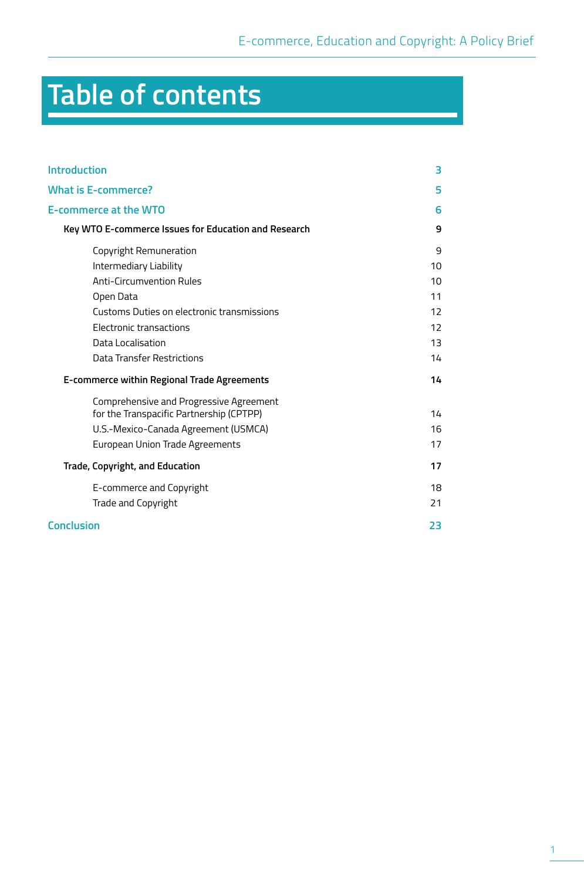# **Table of contents**

| <b>Introduction</b>                                  | 3                 |
|------------------------------------------------------|-------------------|
| <b>What is E-commerce?</b>                           | 5                 |
| <b>E-commerce at the WTO</b>                         | 6                 |
| Key WTO E-commerce Issues for Education and Research | 9                 |
| Copyright Remuneration                               | 9                 |
| Intermediary Liability                               | 10                |
| <b>Anti-Circumvention Rules</b>                      | 10                |
| Open Data                                            | 11                |
| Customs Duties on electronic transmissions           | $12 \overline{ }$ |
| Electronic transactions                              | 12                |
| Data Localisation                                    | 13                |
| Data Transfer Restrictions                           | 14                |
| E-commerce within Regional Trade Agreements          | 14                |
| Comprehensive and Progressive Agreement              |                   |
| for the Transpacific Partnership (CPTPP)             | 14                |
| U.S.-Mexico-Canada Agreement (USMCA)                 | 16                |
| European Union Trade Agreements                      | 17                |
| <b>Trade, Copyright, and Education</b>               | 17                |
| E-commerce and Copyright                             | 18                |
| Trade and Copyright                                  | 21                |
| <b>Conclusion</b>                                    | 23                |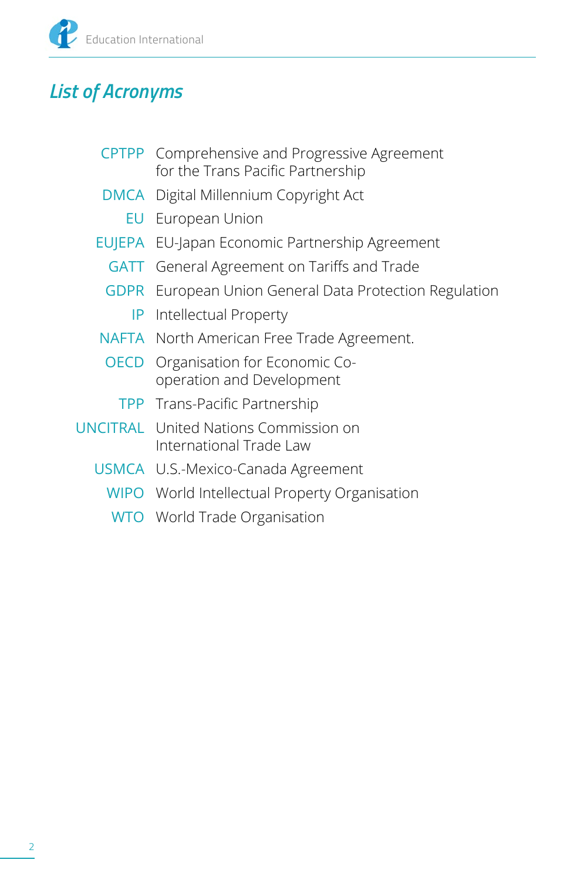

### *List of Acronyms*

- CPTPP Comprehensive and Progressive Agreement for the Trans Pacific Partnership
- DMCA Digital Millennium Copyright Act
	- EU European Union
- EUJEPA EU-Japan Economic Partnership Agreement
	- GATT General Agreement on Tariffs and Trade
	- GDPR European Union General Data Protection Regulation
		- IP Intellectual Property
- NAFTA North American Free Trade Agreement.
- OECD Organisation for Economic Cooperation and Development
	- TPP Trans-Pacific Partnership
- UNCITRAL United Nations Commission on International Trade Law
	- USMCA U.S.-Mexico-Canada Agreement
		- WIPO World Intellectual Property Organisation
		- WTO World Trade Organisation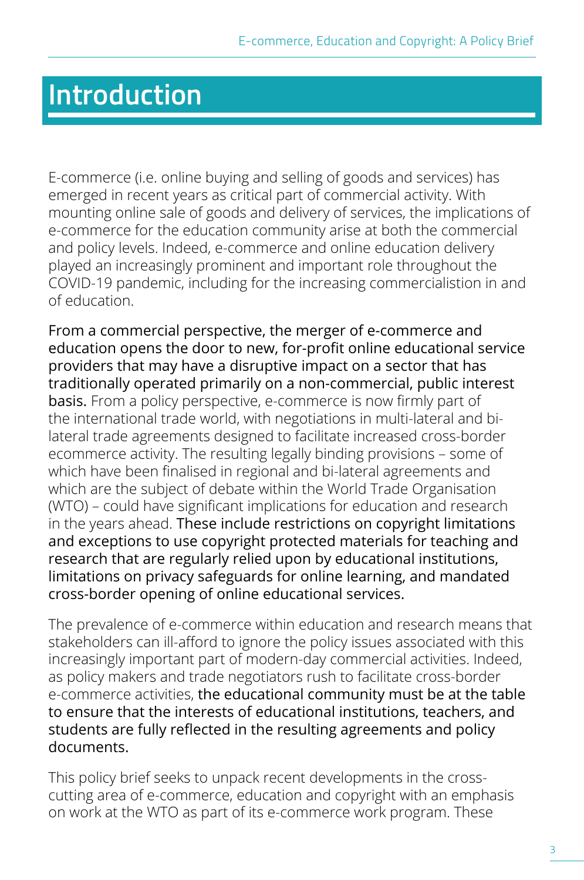## <span id="page-6-0"></span>**Introduction**

E-commerce (i.e. online buying and selling of goods and services) has emerged in recent years as critical part of commercial activity. With mounting online sale of goods and delivery of services, the implications of e-commerce for the education community arise at both the commercial and policy levels. Indeed, e-commerce and online education delivery played an increasingly prominent and important role throughout the COVID-19 pandemic, including for the increasing commercialistion in and of education.

From a commercial perspective, the merger of e-commerce and education opens the door to new, for-profit online educational service providers that may have a disruptive impact on a sector that has traditionally operated primarily on a non-commercial, public interest basis. From a policy perspective, e-commerce is now firmly part of the international trade world, with negotiations in multi-lateral and bilateral trade agreements designed to facilitate increased cross-border ecommerce activity. The resulting legally binding provisions – some of which have been finalised in regional and bi-lateral agreements and which are the subject of debate within the World Trade Organisation (WTO) – could have significant implications for education and research in the years ahead. These include restrictions on copyright limitations and exceptions to use copyright protected materials for teaching and research that are regularly relied upon by educational institutions, limitations on privacy safeguards for online learning, and mandated cross-border opening of online educational services.

The prevalence of e-commerce within education and research means that stakeholders can ill-afford to ignore the policy issues associated with this increasingly important part of modern-day commercial activities. Indeed, as policy makers and trade negotiators rush to facilitate cross-border e-commerce activities, the educational community must be at the table to ensure that the interests of educational institutions, teachers, and students are fully reflected in the resulting agreements and policy documents.

This policy brief seeks to unpack recent developments in the crosscutting area of e-commerce, education and copyright with an emphasis on work at the WTO as part of its e-commerce work program. These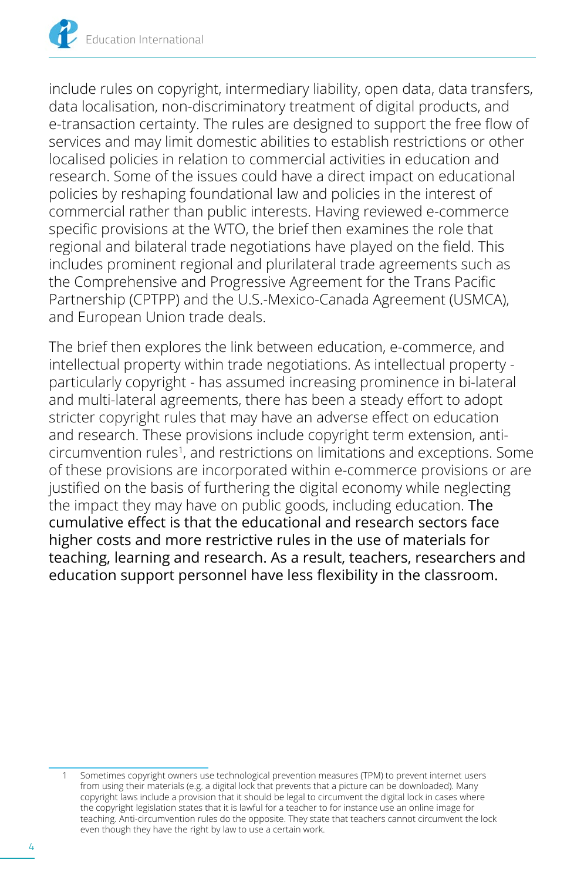include rules on copyright, intermediary liability, open data, data transfers, data localisation, non-discriminatory treatment of digital products, and e-transaction certainty. The rules are designed to support the free flow of services and may limit domestic abilities to establish restrictions or other localised policies in relation to commercial activities in education and research. Some of the issues could have a direct impact on educational policies by reshaping foundational law and policies in the interest of commercial rather than public interests. Having reviewed e-commerce specific provisions at the WTO, the brief then examines the role that regional and bilateral trade negotiations have played on the field. This includes prominent regional and plurilateral trade agreements such as the Comprehensive and Progressive Agreement for the Trans Pacific Partnership (CPTPP) and the U.S.-Mexico-Canada Agreement (USMCA), and European Union trade deals.

The brief then explores the link between education, e-commerce, and intellectual property within trade negotiations. As intellectual property particularly copyright - has assumed increasing prominence in bi-lateral and multi-lateral agreements, there has been a steady effort to adopt stricter copyright rules that may have an adverse effect on education and research. These provisions include copyright term extension, anticircumvention rules<sup>1</sup>, and restrictions on limitations and exceptions. Some of these provisions are incorporated within e-commerce provisions or are justified on the basis of furthering the digital economy while neglecting the impact they may have on public goods, including education. The cumulative effect is that the educational and research sectors face higher costs and more restrictive rules in the use of materials for teaching, learning and research. As a result, teachers, researchers and education support personnel have less flexibility in the classroom.

Sometimes copyright owners use technological prevention measures (TPM) to prevent internet users from using their materials (e.g. a digital lock that prevents that a picture can be downloaded). Many copyright laws include a provision that it should be legal to circumvent the digital lock in cases where the copyright legislation states that it is lawful for a teacher to for instance use an online image for teaching. Anti-circumvention rules do the opposite. They state that teachers cannot circumvent the lock even though they have the right by law to use a certain work.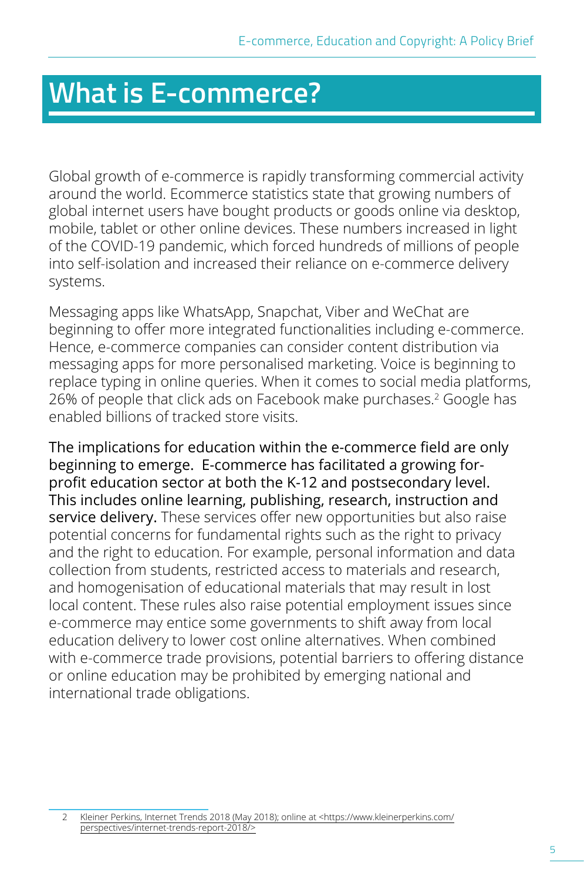## <span id="page-8-0"></span>**What is E-commerce?**

Global growth of e-commerce is rapidly transforming commercial activity around the world. Ecommerce statistics state that growing numbers of global internet users have bought products or goods online via desktop, mobile, tablet or other online devices. These numbers increased in light of the COVID-19 pandemic, which forced hundreds of millions of people into self-isolation and increased their reliance on e-commerce delivery systems.

Messaging apps like WhatsApp, Snapchat, Viber and WeChat are beginning to offer more integrated functionalities including e-commerce. Hence, e-commerce companies can consider content distribution via messaging apps for more personalised marketing. Voice is beginning to replace typing in online queries. When it comes to social media platforms, 26% of people that click ads on Facebook make purchases.2 Google has enabled billions of tracked store visits.

The implications for education within the e-commerce field are only beginning to emerge. E-commerce has facilitated a growing forprofit education sector at both the K-12 and postsecondary level. This includes online learning, publishing, research, instruction and service delivery. These services offer new opportunities but also raise potential concerns for fundamental rights such as the right to privacy and the right to education. For example, personal information and data collection from students, restricted access to materials and research, and homogenisation of educational materials that may result in lost local content. These rules also raise potential employment issues since e-commerce may entice some governments to shift away from local education delivery to lower cost online alternatives. When combined with e-commerce trade provisions, potential barriers to offering distance or online education may be prohibited by emerging national and international trade obligations.

2 Kleiner Perkins, Internet Trends 2018 (May 2018); online at <[https://www.kleinerperkins.com/](https://www.kleinerperkins.com/perspectives/internet-trends-report-2018/) [perspectives/internet-trends-report-2018/>](https://www.kleinerperkins.com/perspectives/internet-trends-report-2018/)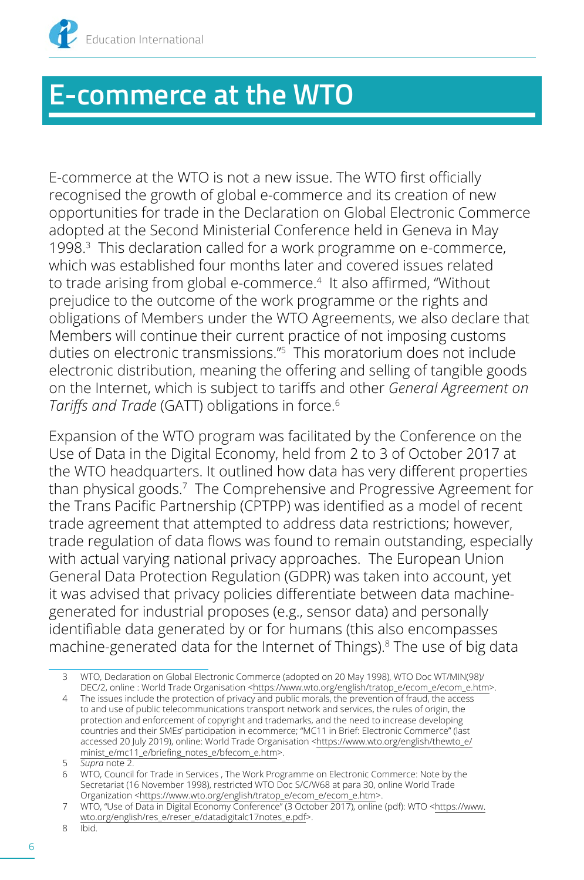<span id="page-9-0"></span>

## **E-commerce at the WTO**

E-commerce at the WTO is not a new issue. The WTO first officially recognised the growth of global e-commerce and its creation of new opportunities for trade in the Declaration on Global Electronic Commerce adopted at the Second Ministerial Conference held in Geneva in May 1998.3 This declaration called for a work programme on e-commerce, which was established four months later and covered issues related to trade arising from global e-commerce.<sup>4</sup> It also affirmed, "Without prejudice to the outcome of the work programme or the rights and obligations of Members under the WTO Agreements, we also declare that Members will continue their current practice of not imposing customs duties on electronic transmissions."5 This moratorium does not include electronic distribution, meaning the offering and selling of tangible goods on the Internet, which is subject to tariffs and other *General Agreement on Tariffs and Trade* (GATT) obligations in force.6

Expansion of the WTO program was facilitated by the Conference on the Use of Data in the Digital Economy, held from 2 to 3 of October 2017 at the WTO headquarters. It outlined how data has very different properties than physical goods.7 The Comprehensive and Progressive Agreement for the Trans Pacific Partnership (CPTPP) was identified as a model of recent trade agreement that attempted to address data restrictions; however, trade regulation of data flows was found to remain outstanding, especially with actual varying national privacy approaches. The European Union General Data Protection Regulation (GDPR) was taken into account, yet it was advised that privacy policies differentiate between data machinegenerated for industrial proposes (e.g., sensor data) and personally identifiable data generated by or for humans (this also encompasses machine-generated data for the Internet of Things).<sup>8</sup> The use of big data

<sup>3</sup> WTO, Declaration on Global Electronic Commerce (adopted on 20 May 1998), WTO Doc WT/MIN(98)/ DEC/2, online : World Trade Organisation <[https://www.wto.org/english/tratop\\_e/ecom\\_e/ecom\\_e.htm>](https://www.wto.org/english/tratop_e/ecom_e/ecom_e.htm).

<sup>4</sup> The issues include the protection of privacy and public morals, the prevention of fraud, the access to and use of public telecommunications transport network and services, the rules of origin, the protection and enforcement of copyright and trademarks, and the need to increase developing countries and their SMEs' participation in ecommerce; "MC11 in Brief: Electronic Commerce" (last accessed 20 July 2019), online: World Trade Organisation [<https://www.wto.org/english/thewto\\_e/](https://www.wto.org/english/thewto_e/minist_e/mc11_e/briefing_notes_e/bfecom_e.htm) [minist\\_e/mc11\\_e/briefing\\_notes\\_e/bfecom\\_e.htm](https://www.wto.org/english/thewto_e/minist_e/mc11_e/briefing_notes_e/bfecom_e.htm)>.

<sup>5</sup> *Supra* note 2.

<sup>6</sup> WTO, Council for Trade in Services , The Work Programme on Electronic Commerce: Note by the Secretariat (16 November 1998), restricted WTO Doc S/C/W68 at para 30, online World Trade Organization [<https://www.wto.org/english/tratop\\_e/ecom\\_e/ecom\\_e.htm](https://www.wto.org/english/tratop_e/ecom_e/ecom_e.htm)>.

<sup>7</sup> WTO, "Use of Data in Digital Economy Conference" (3 October 2017), online (pdf): WTO <[https://www.](https://www.wto.org/english/res_e/reser_e/datadigitalc17notes_e.pdf) [wto.org/english/res\\_e/reser\\_e/datadigitalc17notes\\_e.pdf>](https://www.wto.org/english/res_e/reser_e/datadigitalc17notes_e.pdf).

<sup>8</sup> Ibid.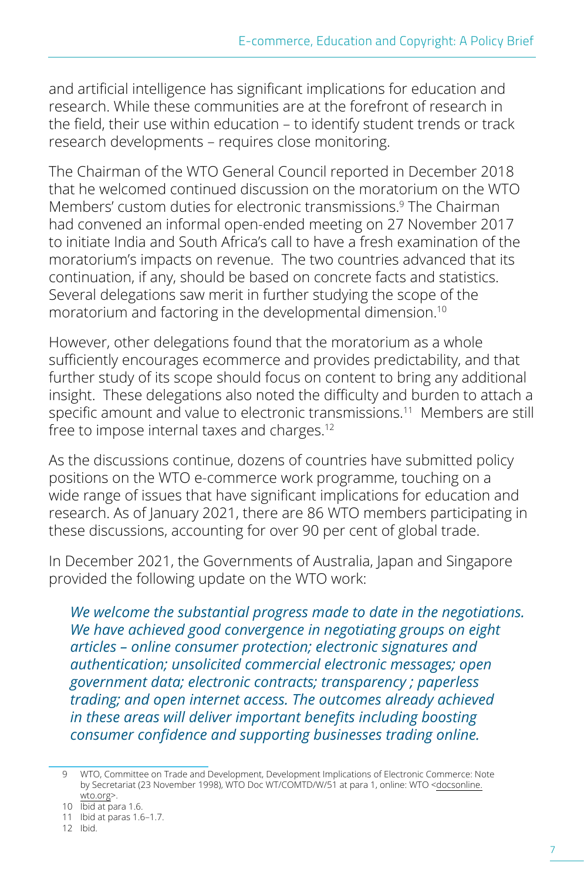and artificial intelligence has significant implications for education and research. While these communities are at the forefront of research in the field, their use within education – to identify student trends or track research developments – requires close monitoring.

The Chairman of the WTO General Council reported in December 2018 that he welcomed continued discussion on the moratorium on the WTO Members' custom duties for electronic transmissions.<sup>9</sup> The Chairman had convened an informal open-ended meeting on 27 November 2017 to initiate India and South Africa's call to have a fresh examination of the moratorium's impacts on revenue. The two countries advanced that its continuation, if any, should be based on concrete facts and statistics. Several delegations saw merit in further studying the scope of the moratorium and factoring in the developmental dimension.10

However, other delegations found that the moratorium as a whole sufficiently encourages ecommerce and provides predictability, and that further study of its scope should focus on content to bring any additional insight. These delegations also noted the difficulty and burden to attach a specific amount and value to electronic transmissions.<sup>11</sup> Members are still free to impose internal taxes and charges.<sup>12</sup>

As the discussions continue, dozens of countries have submitted policy positions on the WTO e-commerce work programme, touching on a wide range of issues that have significant implications for education and research. As of January 2021, there are 86 WTO members participating in these discussions, accounting for over 90 per cent of global trade.

In December 2021, the Governments of Australia, Japan and Singapore provided the following update on the WTO work:

*We welcome the substantial progress made to date in the negotiations. We have achieved good convergence in negotiating groups on eight articles – online consumer protection; electronic signatures and authentication; unsolicited commercial electronic messages; open government data; electronic contracts; transparency ; paperless trading; and open internet access. The outcomes already achieved in these areas will deliver important benefits including boosting consumer confidence and supporting businesses trading online.* 

<sup>9</sup> WTO, Committee on Trade and Development, Development Implications of Electronic Commerce: Note by Secretariat (23 November 1998), WTO Doc WT/COMTD/W/51 at para 1, online: WTO <[docsonline.](docsonline.wto.org) [wto.org](docsonline.wto.org)>.

<sup>10</sup> Ibid at para 1.6.

<sup>11</sup> Ibid at paras 1.6–1.7.

<sup>12</sup> Ibid.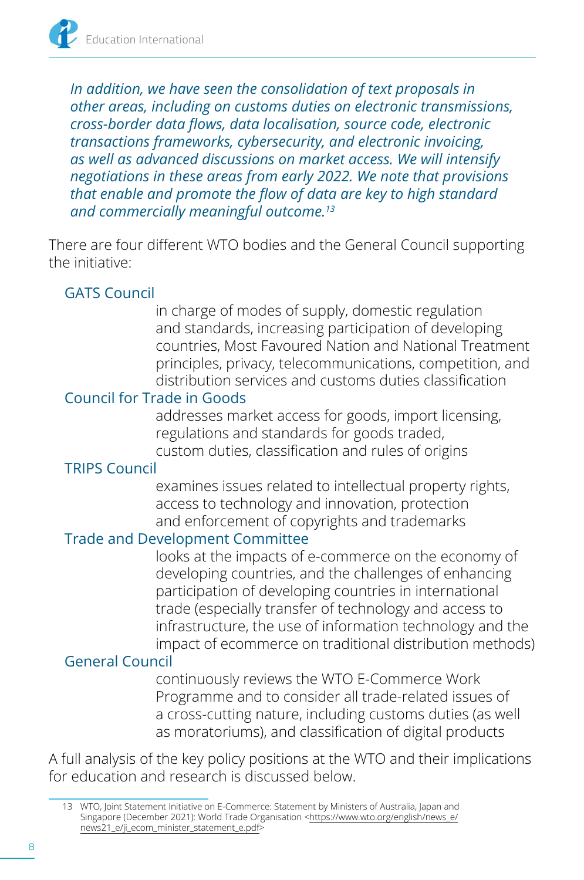*In addition, we have seen the consolidation of text proposals in other areas, including on customs duties on electronic transmissions, cross-border data flows, data localisation, source code, electronic transactions frameworks, cybersecurity, and electronic invoicing, as well as advanced discussions on market access. We will intensify negotiations in these areas from early 2022. We note that provisions that enable and promote the flow of data are key to high standard and commercially meaningful outcome.13*

There are four different WTO bodies and the General Council supporting the initiative:

#### GATS Council

in charge of modes of supply, domestic regulation and standards, increasing participation of developing countries, Most Favoured Nation and National Treatment principles, privacy, telecommunications, competition, and distribution services and customs duties classification

#### Council for Trade in Goods

addresses market access for goods, import licensing, regulations and standards for goods traded, custom duties, classification and rules of origins

#### TRIPS Council

examines issues related to intellectual property rights, access to technology and innovation, protection and enforcement of copyrights and trademarks

#### Trade and Development Committee

looks at the impacts of e-commerce on the economy of developing countries, and the challenges of enhancing participation of developing countries in international trade (especially transfer of technology and access to infrastructure, the use of information technology and the impact of ecommerce on traditional distribution methods)

#### General Council

continuously reviews the WTO E-Commerce Work Programme and to consider all trade-related issues of a cross-cutting nature, including customs duties (as well as moratoriums), and classification of digital products

A full analysis of the key policy positions at the WTO and their implications for education and research is discussed below.

<sup>13</sup> WTO, Joint Statement Initiative on E-Commerce: Statement by Ministers of Australia, Japan and Singapore (December 2021): World Trade Organisation [<https://www.wto.org/english/news\\_e/](https://www.wto.org/english/news_e/news21_e/ji_ecom_minister_statement_e.pdf) [news21\\_e/ji\\_ecom\\_minister\\_statement\\_e.pdf](https://www.wto.org/english/news_e/news21_e/ji_ecom_minister_statement_e.pdf)>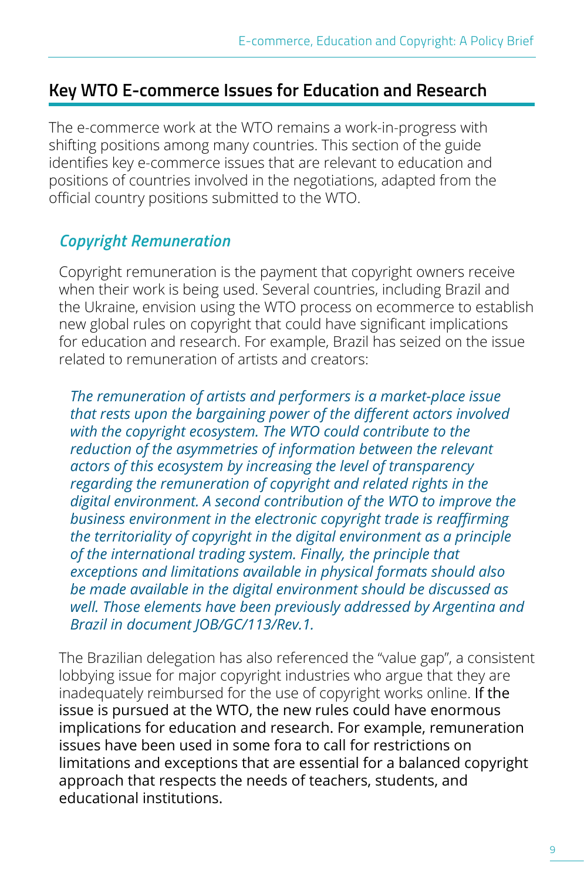#### <span id="page-12-0"></span>**Key WTO E-commerce Issues for Education and Research**

The e-commerce work at the WTO remains a work-in-progress with shifting positions among many countries. This section of the guide identifies key e-commerce issues that are relevant to education and positions of countries involved in the negotiations, adapted from the official country positions submitted to the WTO.

#### *Copyright Remuneration*

Copyright remuneration is the payment that copyright owners receive when their work is being used. Several countries, including Brazil and the Ukraine, envision using the WTO process on ecommerce to establish new global rules on copyright that could have significant implications for education and research. For example, Brazil has seized on the issue related to remuneration of artists and creators:

*The remuneration of artists and performers is a market-place issue that rests upon the bargaining power of the different actors involved with the copyright ecosystem. The WTO could contribute to the reduction of the asymmetries of information between the relevant actors of this ecosystem by increasing the level of transparency regarding the remuneration of copyright and related rights in the digital environment. A second contribution of the WTO to improve the business environment in the electronic copyright trade is reaffirming the territoriality of copyright in the digital environment as a principle of the international trading system. Finally, the principle that exceptions and limitations available in physical formats should also be made available in the digital environment should be discussed as well. Those elements have been previously addressed by Argentina and Brazil in document JOB/GC/113/Rev.1.* 

The Brazilian delegation has also referenced the "value gap", a consistent lobbying issue for major copyright industries who argue that they are inadequately reimbursed for the use of copyright works online. If the issue is pursued at the WTO, the new rules could have enormous implications for education and research. For example, remuneration issues have been used in some fora to call for restrictions on limitations and exceptions that are essential for a balanced copyright approach that respects the needs of teachers, students, and educational institutions.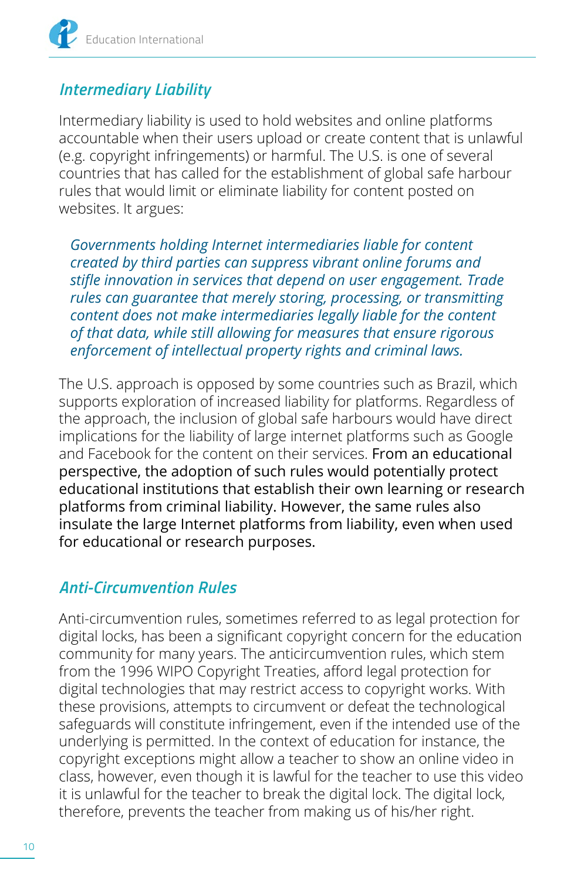#### <span id="page-13-0"></span>*Intermediary Liability*

Intermediary liability is used to hold websites and online platforms accountable when their users upload or create content that is unlawful (e.g. copyright infringements) or harmful. The U.S. is one of several countries that has called for the establishment of global safe harbour rules that would limit or eliminate liability for content posted on websites. It argues:

*Governments holding Internet intermediaries liable for content created by third parties can suppress vibrant online forums and stifle innovation in services that depend on user engagement. Trade rules can guarantee that merely storing, processing, or transmitting content does not make intermediaries legally liable for the content of that data, while still allowing for measures that ensure rigorous enforcement of intellectual property rights and criminal laws.* 

The U.S. approach is opposed by some countries such as Brazil, which supports exploration of increased liability for platforms. Regardless of the approach, the inclusion of global safe harbours would have direct implications for the liability of large internet platforms such as Google and Facebook for the content on their services. From an educational perspective, the adoption of such rules would potentially protect educational institutions that establish their own learning or research platforms from criminal liability. However, the same rules also insulate the large Internet platforms from liability, even when used for educational or research purposes.

#### *Anti-Circumvention Rules*

Anti-circumvention rules, sometimes referred to as legal protection for digital locks, has been a significant copyright concern for the education community for many years. The anticircumvention rules, which stem from the 1996 WIPO Copyright Treaties, afford legal protection for digital technologies that may restrict access to copyright works. With these provisions, attempts to circumvent or defeat the technological safeguards will constitute infringement, even if the intended use of the underlying is permitted. In the context of education for instance, the copyright exceptions might allow a teacher to show an online video in class, however, even though it is lawful for the teacher to use this video it is unlawful for the teacher to break the digital lock. The digital lock, therefore, prevents the teacher from making us of his/her right.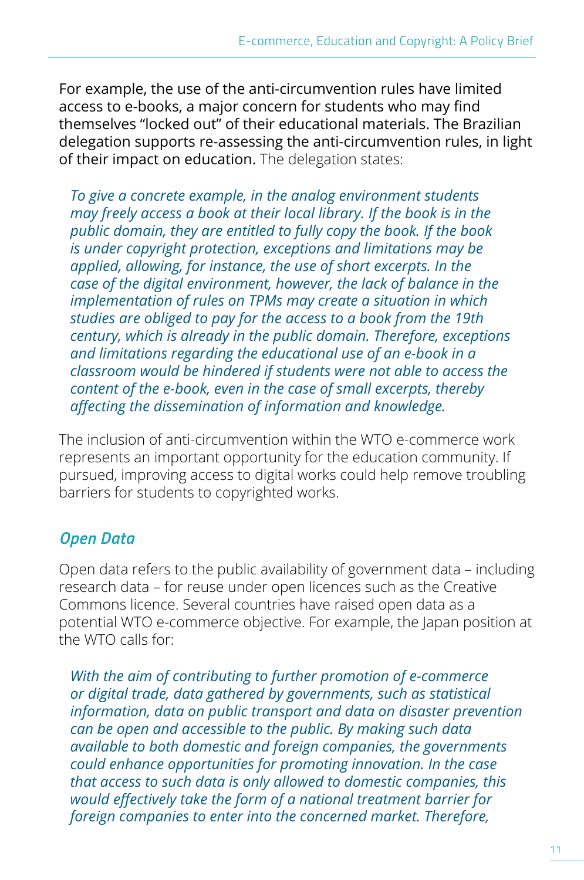<span id="page-14-0"></span>For example, the use of the anti-circumvention rules have limited access to e-books, a major concern for students who may find themselves "locked out" of their educational materials. The Brazilian delegation supports re-assessing the anti-circumvention rules, in light of their impact on education. The delegation states:

*To give a concrete example, in the analog environment students may freely access a book at their local library. If the book is in the public domain, they are entitled to fully copy the book. If the book is under copyright protection, exceptions and limitations may be applied, allowing, for instance, the use of short excerpts. In the case of the digital environment, however, the lack of balance in the implementation of rules on TPMs may create a situation in which studies are obliged to pay for the access to a book from the 19th century, which is already in the public domain. Therefore, exceptions and limitations regarding the educational use of an e-book in a classroom would be hindered if students were not able to access the content of the e-book, even in the case of small excerpts, thereby affecting the dissemination of information and knowledge.* 

The inclusion of anti-circumvention within the WTO e-commerce work represents an important opportunity for the education community. If pursued, improving access to digital works could help remove troubling barriers for students to copyrighted works.

#### *Open Data*

Open data refers to the public availability of government data – including research data – for reuse under open licences such as the Creative Commons licence. Several countries have raised open data as a potential WTO e-commerce objective. For example, the Japan position at the WTO calls for:

*With the aim of contributing to further promotion of e-commerce or digital trade, data gathered by governments, such as statistical information, data on public transport and data on disaster prevention can be open and accessible to the public. By making such data available to both domestic and foreign companies, the governments could enhance opportunities for promoting innovation. In the case that access to such data is only allowed to domestic companies, this would effectively take the form of a national treatment barrier for foreign companies to enter into the concerned market. Therefore,*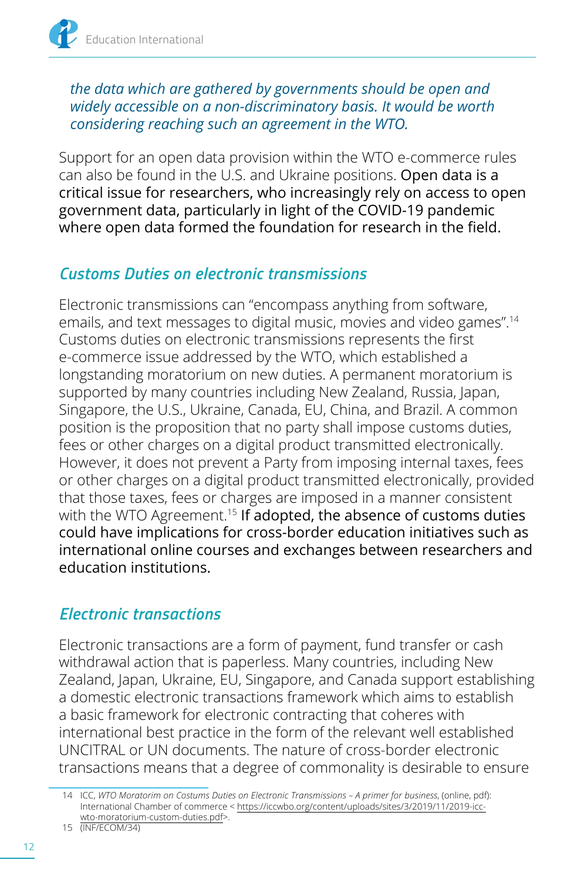#### <span id="page-15-0"></span>*the data which are gathered by governments should be open and widely accessible on a non-discriminatory basis. It would be worth considering reaching such an agreement in the WTO.*

Support for an open data provision within the WTO e-commerce rules can also be found in the U.S. and Ukraine positions. Open data is a critical issue for researchers, who increasingly rely on access to open government data, particularly in light of the COVID-19 pandemic where open data formed the foundation for research in the field.

#### *Customs Duties on electronic transmissions*

Electronic transmissions can "encompass anything from software, emails, and text messages to digital music, movies and video games".14 Customs duties on electronic transmissions represents the first e-commerce issue addressed by the WTO, which established a longstanding moratorium on new duties. A permanent moratorium is supported by many countries including New Zealand, Russia, Japan, Singapore, the U.S., Ukraine, Canada, EU, China, and Brazil. A common position is the proposition that no party shall impose customs duties, fees or other charges on a digital product transmitted electronically. However, it does not prevent a Party from imposing internal taxes, fees or other charges on a digital product transmitted electronically, provided that those taxes, fees or charges are imposed in a manner consistent with the WTO Agreement.<sup>15</sup> If adopted, the absence of customs duties could have implications for cross-border education initiatives such as international online courses and exchanges between researchers and education institutions.

#### *Electronic transactions*

Electronic transactions are a form of payment, fund transfer or cash withdrawal action that is paperless. Many countries, including New Zealand, Japan, Ukraine, EU, Singapore, and Canada support establishing a domestic electronic transactions framework which aims to establish a basic framework for electronic contracting that coheres with international best practice in the form of the relevant well established UNCITRAL or UN documents. The nature of cross-border electronic transactions means that a degree of commonality is desirable to ensure

<sup>14</sup> ICC, *WTO Moratorim on Costums Duties on Electronic Transmissions – A primer for business*, (online, pdf): International Chamber of commerce < [https://iccwbo.org/content/uploads/sites/3/2019/11/2019-icc](https://iccwbo.org/content/uploads/sites/3/2019/11/2019-icc-wto-moratorium-custom-duties.pdf)[wto-moratorium-custom-duties.pdf](https://iccwbo.org/content/uploads/sites/3/2019/11/2019-icc-wto-moratorium-custom-duties.pdf)>.

<sup>15</sup> (INF/ECOM/34)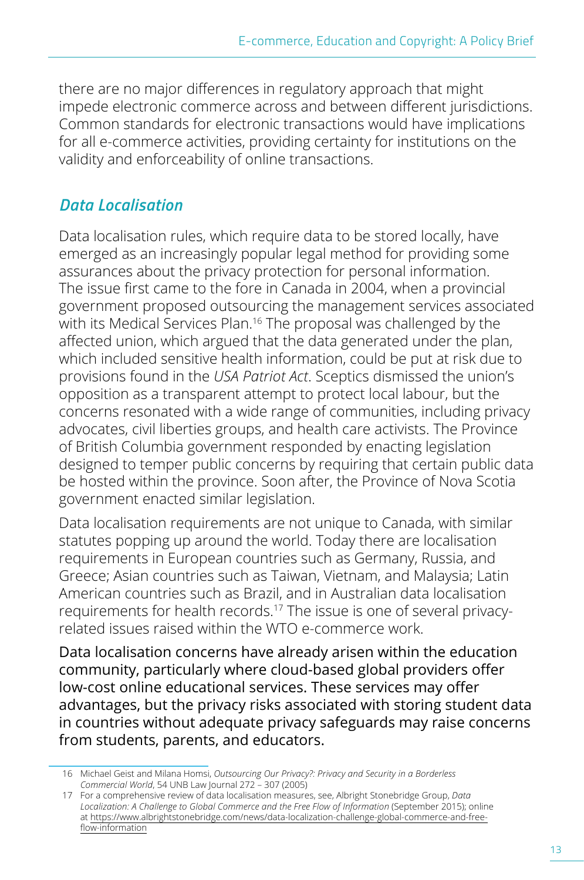<span id="page-16-0"></span>there are no major differences in regulatory approach that might impede electronic commerce across and between different jurisdictions. Common standards for electronic transactions would have implications for all e-commerce activities, providing certainty for institutions on the validity and enforceability of online transactions.

#### *Data Localisation*

Data localisation rules, which require data to be stored locally, have emerged as an increasingly popular legal method for providing some assurances about the privacy protection for personal information. The issue first came to the fore in Canada in 2004, when a provincial government proposed outsourcing the management services associated with its Medical Services Plan.<sup>16</sup> The proposal was challenged by the affected union, which argued that the data generated under the plan, which included sensitive health information, could be put at risk due to provisions found in the *USA Patriot Act*. Sceptics dismissed the union's opposition as a transparent attempt to protect local labour, but the concerns resonated with a wide range of communities, including privacy advocates, civil liberties groups, and health care activists. The Province of British Columbia government responded by enacting legislation designed to temper public concerns by requiring that certain public data be hosted within the province. Soon after, the Province of Nova Scotia government enacted similar legislation.

Data localisation requirements are not unique to Canada, with similar statutes popping up around the world. Today there are localisation requirements in European countries such as Germany, Russia, and Greece; Asian countries such as Taiwan, Vietnam, and Malaysia; Latin American countries such as Brazil, and in Australian data localisation requirements for health records.17 The issue is one of several privacyrelated issues raised within the WTO e-commerce work.

Data localisation concerns have already arisen within the education community, particularly where cloud-based global providers offer low-cost online educational services. These services may offer advantages, but the privacy risks associated with storing student data in countries without adequate privacy safeguards may raise concerns from students, parents, and educators.

<sup>16</sup> Michael Geist and Milana Homsi, *Outsourcing Our Privacy?: Privacy and Security in a Borderless Commercial World*, 54 UNB Law Journal 272 – 307 (2005)

<sup>17</sup> For a comprehensive review of data localisation measures, see, Albright Stonebridge Group, *Data Localization: A Challenge to Global Commerce and the Free Flow of Information* (September 2015); online at [https://www.albrightstonebridge.com/news/data-localization-challenge-global-commerce-and-free](https://www.albrightstonebridge.com/news/data-localization-challenge-global-commerce-and-free-flow-information)[flow-information](https://www.albrightstonebridge.com/news/data-localization-challenge-global-commerce-and-free-flow-information)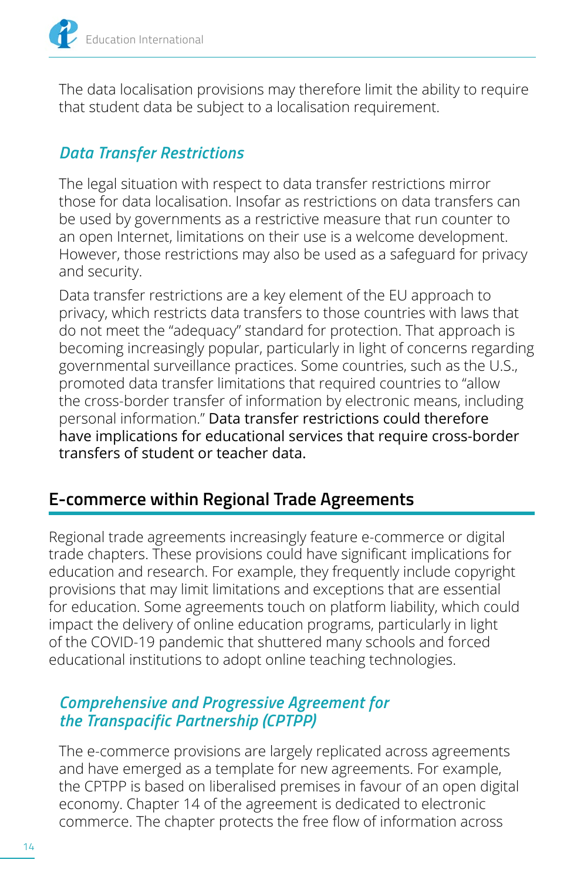<span id="page-17-0"></span>The data localisation provisions may therefore limit the ability to require that student data be subject to a localisation requirement.

#### *Data Transfer Restrictions*

The legal situation with respect to data transfer restrictions mirror those for data localisation. Insofar as restrictions on data transfers can be used by governments as a restrictive measure that run counter to an open Internet, limitations on their use is a welcome development. However, those restrictions may also be used as a safeguard for privacy and security.

Data transfer restrictions are a key element of the EU approach to privacy, which restricts data transfers to those countries with laws that do not meet the "adequacy" standard for protection. That approach is becoming increasingly popular, particularly in light of concerns regarding governmental surveillance practices. Some countries, such as the U.S., promoted data transfer limitations that required countries to "allow the cross-border transfer of information by electronic means, including personal information." Data transfer restrictions could therefore have implications for educational services that require cross-border transfers of student or teacher data.

#### **E-commerce within Regional Trade Agreements**

Regional trade agreements increasingly feature e-commerce or digital trade chapters. These provisions could have significant implications for education and research. For example, they frequently include copyright provisions that may limit limitations and exceptions that are essential for education. Some agreements touch on platform liability, which could impact the delivery of online education programs, particularly in light of the COVID-19 pandemic that shuttered many schools and forced educational institutions to adopt online teaching technologies.

#### *Comprehensive and Progressive Agreement for the Transpacific Partnership (CPTPP)*

The e-commerce provisions are largely replicated across agreements and have emerged as a template for new agreements. For example, the CPTPP is based on liberalised premises in favour of an open digital economy. Chapter 14 of the agreement is dedicated to electronic commerce. The chapter protects the free flow of information across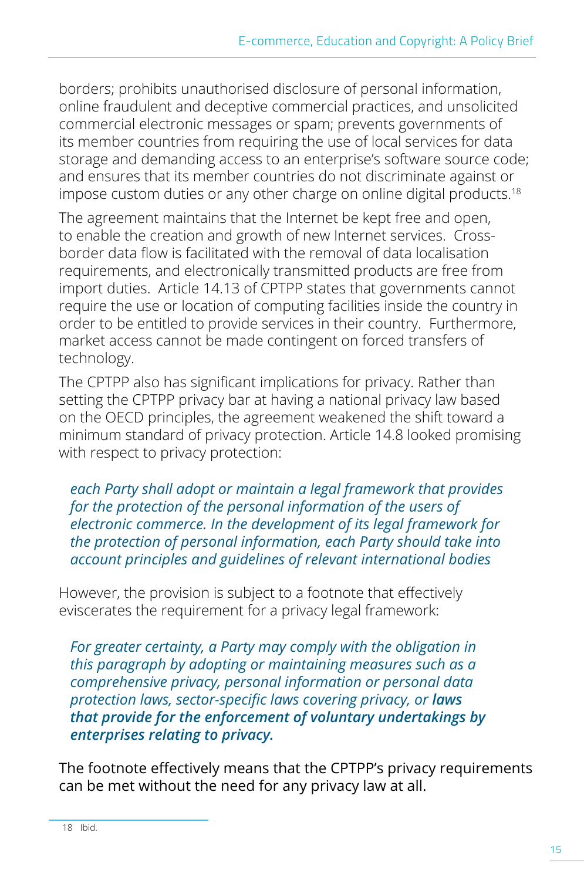borders; prohibits unauthorised disclosure of personal information, online fraudulent and deceptive commercial practices, and unsolicited commercial electronic messages or spam; prevents governments of its member countries from requiring the use of local services for data storage and demanding access to an enterprise's software source code; and ensures that its member countries do not discriminate against or impose custom duties or any other charge on online digital products.<sup>18</sup>

The agreement maintains that the Internet be kept free and open, to enable the creation and growth of new Internet services. Crossborder data flow is facilitated with the removal of data localisation requirements, and electronically transmitted products are free from import duties. Article 14.13 of CPTPP states that governments cannot require the use or location of computing facilities inside the country in order to be entitled to provide services in their country. Furthermore, market access cannot be made contingent on forced transfers of technology.

The CPTPP also has significant implications for privacy. Rather than setting the CPTPP privacy bar at having a national privacy law based on the OECD principles, the agreement weakened the shift toward a minimum standard of privacy protection. Article 14.8 looked promising with respect to privacy protection:

*each Party shall adopt or maintain a legal framework that provides*  for the protection of the personal information of the users of *electronic commerce. In the development of its legal framework for the protection of personal information, each Party should take into account principles and guidelines of relevant international bodies* 

However, the provision is subject to a footnote that effectively eviscerates the requirement for a privacy legal framework:

*For greater certainty, a Party may comply with the obligation in this paragraph by adopting or maintaining measures such as a comprehensive privacy, personal information or personal data protection laws, sector-specific laws covering privacy, or laws that provide for the enforcement of voluntary undertakings by enterprises relating to privacy.*

The footnote effectively means that the CPTPP's privacy requirements can be met without the need for any privacy law at all.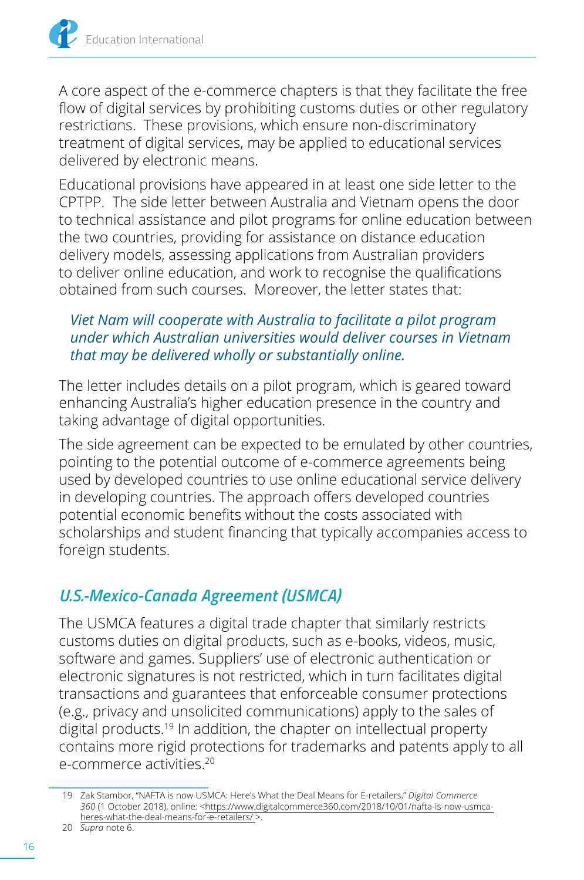<span id="page-19-0"></span>A core aspect of the e-commerce chapters is that they facilitate the free flow of digital services by prohibiting customs duties or other regulatory restrictions. These provisions, which ensure non-discriminatory treatment of digital services, may be applied to educational services delivered by electronic means.

Educational provisions have appeared in at least one side letter to the CPTPP. The side letter between Australia and Vietnam opens the door to technical assistance and pilot programs for online education between the two countries, providing for assistance on distance education delivery models, assessing applications from Australian providers to deliver online education, and work to recognise the qualifications obtained from such courses. Moreover, the letter states that:

#### *Viet Nam will cooperate with Australia to facilitate a pilot program under which Australian universities would deliver courses in Vietnam that may be delivered wholly or substantially online.*

The letter includes details on a pilot program, which is geared toward enhancing Australia's higher education presence in the country and taking advantage of digital opportunities.

The side agreement can be expected to be emulated by other countries, pointing to the potential outcome of e-commerce agreements being used by developed countries to use online educational service delivery in developing countries. The approach offers developed countries potential economic benefits without the costs associated with scholarships and student financing that typically accompanies access to foreign students.

#### *U.S.-Mexico-Canada Agreement (USMCA)*

The USMCA features a digital trade chapter that similarly restricts customs duties on digital products, such as e-books, videos, music, software and games. Suppliers' use of electronic authentication or electronic signatures is not restricted, which in turn facilitates digital transactions and guarantees that enforceable consumer protections (e.g., privacy and unsolicited communications) apply to the sales of digital products.<sup>19</sup> In addition, the chapter on intellectual property contains more rigid protections for trademarks and patents apply to all e-commerce activities.<sup>20</sup>

<sup>19</sup> Zak Stambor, "NAFTA is now USMCA: Here's What the Deal Means for E-retailers," *Digital Commerce 360* (1 October 2018), online: [<https://www.digitalcommerce360.com/2018/10/01/nafta-is-now-usmca](https://www.digitalcommerce360.com/2018/10/01/nafta-is-now-usmca-heres-what-the-deal-means-for-e-retailers/)[heres-what-the-deal-means-for-e-retailers/ >](https://www.digitalcommerce360.com/2018/10/01/nafta-is-now-usmca-heres-what-the-deal-means-for-e-retailers/).

<sup>20</sup> *Supra* note 6.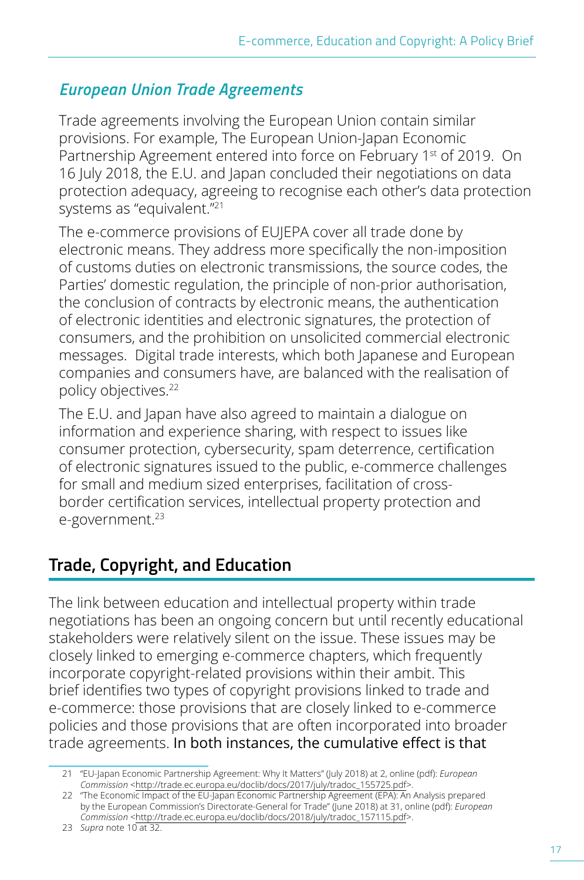#### <span id="page-20-0"></span>*European Union Trade Agreements*

Trade agreements involving the European Union contain similar provisions. For example, The European Union-Japan Economic Partnership Agreement entered into force on February 1<sup>st</sup> of 2019. On 16 July 2018, the E.U. and Japan concluded their negotiations on data protection adequacy, agreeing to recognise each other's data protection systems as "equivalent."<sup>21</sup>

The e-commerce provisions of EUJEPA cover all trade done by electronic means. They address more specifically the non-imposition of customs duties on electronic transmissions, the source codes, the Parties' domestic regulation, the principle of non-prior authorisation, the conclusion of contracts by electronic means, the authentication of electronic identities and electronic signatures, the protection of consumers, and the prohibition on unsolicited commercial electronic messages. Digital trade interests, which both Japanese and European companies and consumers have, are balanced with the realisation of policy objectives.22

The E.U. and Japan have also agreed to maintain a dialogue on information and experience sharing, with respect to issues like consumer protection, cybersecurity, spam deterrence, certification of electronic signatures issued to the public, e-commerce challenges for small and medium sized enterprises, facilitation of crossborder certification services, intellectual property protection and e-government.<sup>23</sup>

#### **Trade, Copyright, and Education**

The link between education and intellectual property within trade negotiations has been an ongoing concern but until recently educational stakeholders were relatively silent on the issue. These issues may be closely linked to emerging e-commerce chapters, which frequently incorporate copyright-related provisions within their ambit. This brief identifies two types of copyright provisions linked to trade and e-commerce: those provisions that are closely linked to e-commerce policies and those provisions that are often incorporated into broader trade agreements. In both instances, the cumulative effect is that

<sup>21</sup> "EU-Japan Economic Partnership Agreement: Why It Matters" (July 2018) at 2, online (pdf): *European Commission* [<http://trade.ec.europa.eu/doclib/docs/2017/july/tradoc\\_155725.pdf](http://trade.ec.europa.eu/doclib/docs/2017/july/tradoc_155725.pdf)>.

<sup>22</sup> "The Economic Impact of the EU-Japan Economic Partnership Agreement (EPA): An Analysis prepared by the European Commission's Directorate-General for Trade" (June 2018) at 31, online (pdf): *European Commission* [<http://trade.ec.europa.eu/doclib/docs/2018/july/tradoc\\_157115.pdf](http://trade.ec.europa.eu/doclib/docs/2018/july/tradoc_157115.pdf)>.

<sup>23</sup> *Supra* note 10 at 32.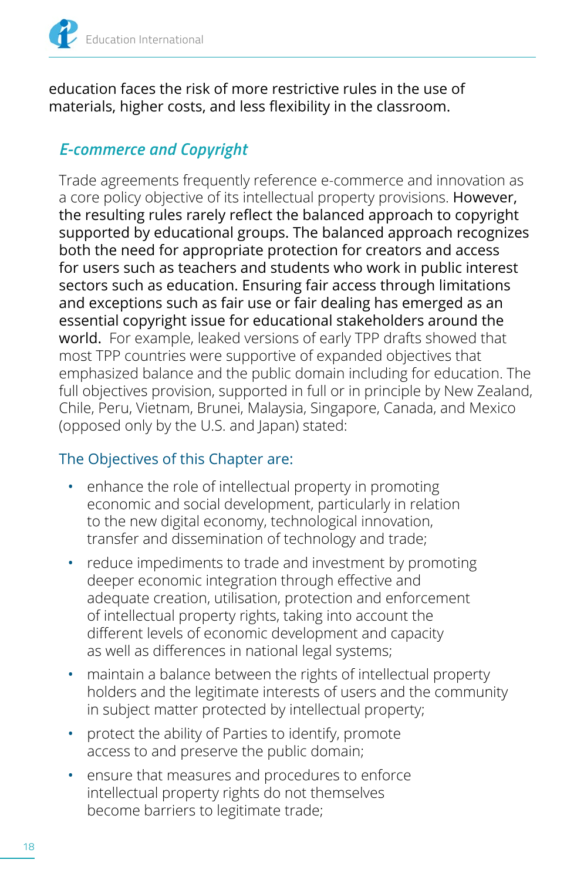<span id="page-21-0"></span>

education faces the risk of more restrictive rules in the use of materials, higher costs, and less flexibility in the classroom.

#### *E-commerce and Copyright*

Trade agreements frequently reference e-commerce and innovation as a core policy objective of its intellectual property provisions. However, the resulting rules rarely reflect the balanced approach to copyright supported by educational groups. The balanced approach recognizes both the need for appropriate protection for creators and access for users such as teachers and students who work in public interest sectors such as education. Ensuring fair access through limitations and exceptions such as fair use or fair dealing has emerged as an essential copyright issue for educational stakeholders around the world. For example, leaked versions of early TPP drafts showed that most TPP countries were supportive of expanded objectives that emphasized balance and the public domain including for education. The full objectives provision, supported in full or in principle by New Zealand, Chile, Peru, Vietnam, Brunei, Malaysia, Singapore, Canada, and Mexico (opposed only by the U.S. and Japan) stated:

#### The Objectives of this Chapter are:

- enhance the role of intellectual property in promoting economic and social development, particularly in relation to the new digital economy, technological innovation, transfer and dissemination of technology and trade;
- reduce impediments to trade and investment by promoting deeper economic integration through effective and adequate creation, utilisation, protection and enforcement of intellectual property rights, taking into account the different levels of economic development and capacity as well as differences in national legal systems;
- maintain a balance between the rights of intellectual property holders and the legitimate interests of users and the community in subject matter protected by intellectual property;
- protect the ability of Parties to identify, promote access to and preserve the public domain;
- ensure that measures and procedures to enforce intellectual property rights do not themselves become barriers to legitimate trade;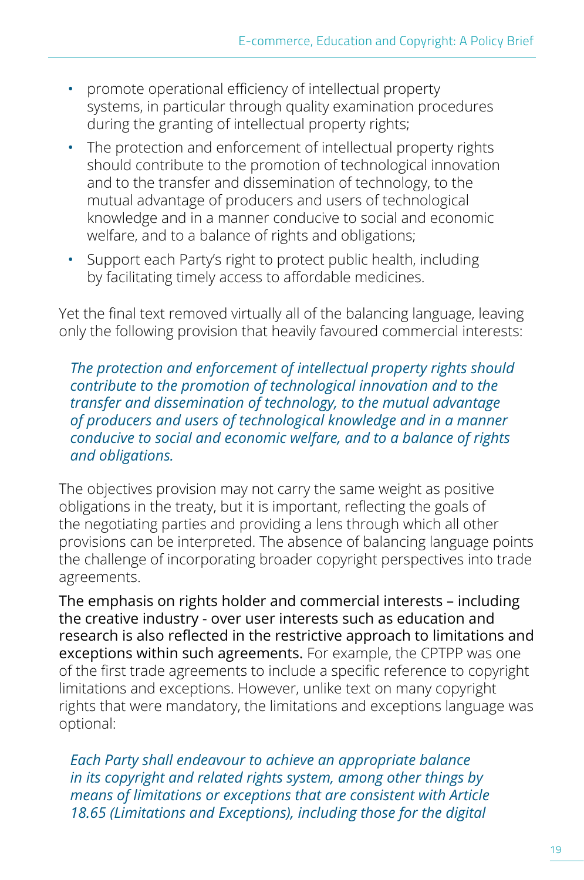- promote operational efficiency of intellectual property systems, in particular through quality examination procedures during the granting of intellectual property rights;
- The protection and enforcement of intellectual property rights should contribute to the promotion of technological innovation and to the transfer and dissemination of technology, to the mutual advantage of producers and users of technological knowledge and in a manner conducive to social and economic welfare, and to a balance of rights and obligations;
- Support each Party's right to protect public health, including by facilitating timely access to affordable medicines.

Yet the final text removed virtually all of the balancing language, leaving only the following provision that heavily favoured commercial interests:

*The protection and enforcement of intellectual property rights should contribute to the promotion of technological innovation and to the transfer and dissemination of technology, to the mutual advantage of producers and users of technological knowledge and in a manner conducive to social and economic welfare, and to a balance of rights and obligations.* 

The objectives provision may not carry the same weight as positive obligations in the treaty, but it is important, reflecting the goals of the negotiating parties and providing a lens through which all other provisions can be interpreted. The absence of balancing language points the challenge of incorporating broader copyright perspectives into trade agreements.

The emphasis on rights holder and commercial interests – including the creative industry - over user interests such as education and research is also reflected in the restrictive approach to limitations and exceptions within such agreements. For example, the CPTPP was one of the first trade agreements to include a specific reference to copyright limitations and exceptions. However, unlike text on many copyright rights that were mandatory, the limitations and exceptions language was optional:

*Each Party shall endeavour to achieve an appropriate balance in its copyright and related rights system, among other things by means of limitations or exceptions that are consistent with Article 18.65 (Limitations and Exceptions), including those for the digital*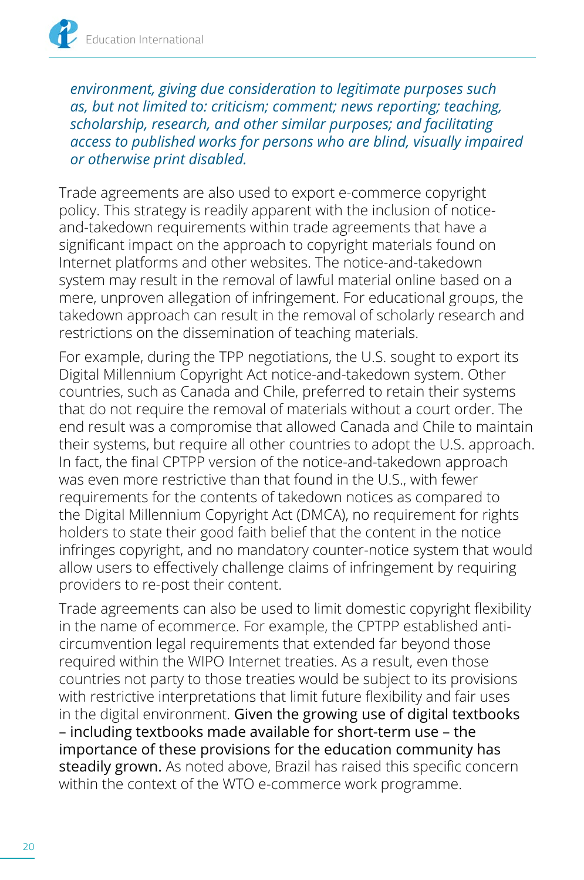*environment, giving due consideration to legitimate purposes such as, but not limited to: criticism; comment; news reporting; teaching, scholarship, research, and other similar purposes; and facilitating access to published works for persons who are blind, visually impaired or otherwise print disabled.* 

Trade agreements are also used to export e-commerce copyright policy. This strategy is readily apparent with the inclusion of noticeand-takedown requirements within trade agreements that have a significant impact on the approach to copyright materials found on Internet platforms and other websites. The notice-and-takedown system may result in the removal of lawful material online based on a mere, unproven allegation of infringement. For educational groups, the takedown approach can result in the removal of scholarly research and restrictions on the dissemination of teaching materials.

For example, during the TPP negotiations, the U.S. sought to export its Digital Millennium Copyright Act notice-and-takedown system. Other countries, such as Canada and Chile, preferred to retain their systems that do not require the removal of materials without a court order. The end result was a compromise that allowed Canada and Chile to maintain their systems, but require all other countries to adopt the U.S. approach. In fact, the final CPTPP version of the notice-and-takedown approach was even more restrictive than that found in the U.S., with fewer requirements for the contents of takedown notices as compared to the Digital Millennium Copyright Act (DMCA), no requirement for rights holders to state their good faith belief that the content in the notice infringes copyright, and no mandatory counter-notice system that would allow users to effectively challenge claims of infringement by requiring providers to re-post their content.

Trade agreements can also be used to limit domestic copyright flexibility in the name of ecommerce. For example, the CPTPP established anticircumvention legal requirements that extended far beyond those required within the WIPO Internet treaties. As a result, even those countries not party to those treaties would be subject to its provisions with restrictive interpretations that limit future flexibility and fair uses in the digital environment. Given the growing use of digital textbooks – including textbooks made available for short-term use – the importance of these provisions for the education community has steadily grown. As noted above, Brazil has raised this specific concern within the context of the WTO e-commerce work programme.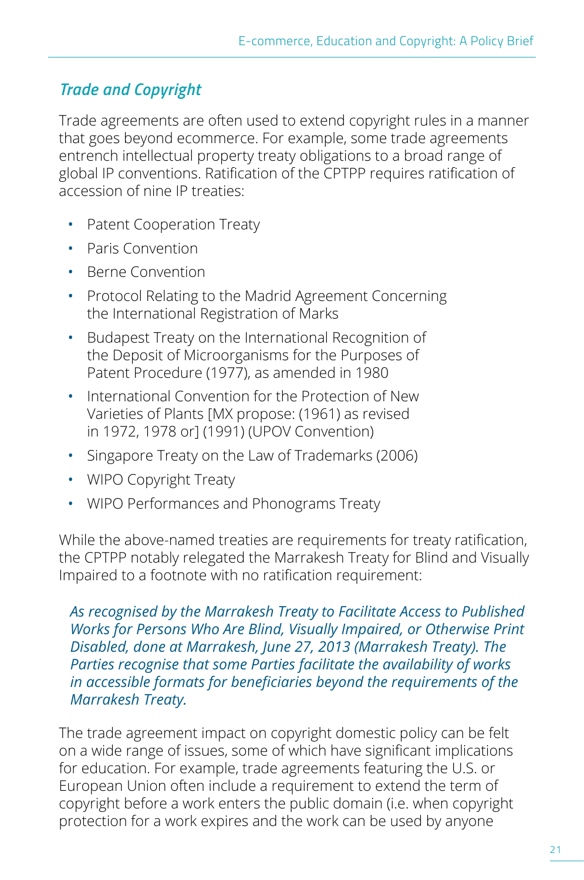#### <span id="page-24-0"></span>*Trade and Copyright*

Trade agreements are often used to extend copyright rules in a manner that goes beyond ecommerce. For example, some trade agreements entrench intellectual property treaty obligations to a broad range of global IP conventions. Ratification of the CPTPP requires ratification of accession of nine IP treaties:

- Patent Cooperation Treaty
- Paris Convention
- Berne Convention
- Protocol Relating to the Madrid Agreement Concerning the International Registration of Marks
- Budapest Treaty on the International Recognition of the Deposit of Microorganisms for the Purposes of Patent Procedure (1977), as amended in 1980
- International Convention for the Protection of New Varieties of Plants [MX propose: (1961) as revised in 1972, 1978 or] (1991) (UPOV Convention)
- Singapore Treaty on the Law of Trademarks (2006)
- WIPO Copyright Treaty
- WIPO Performances and Phonograms Treaty

While the above-named treaties are requirements for treaty ratification, the CPTPP notably relegated the Marrakesh Treaty for Blind and Visually Impaired to a footnote with no ratification requirement:

*As recognised by the Marrakesh Treaty to Facilitate Access to Published Works for Persons Who Are Blind, Visually Impaired, or Otherwise Print Disabled, done at Marrakesh, June 27, 2013 (Marrakesh Treaty). The Parties recognise that some Parties facilitate the availability of works in accessible formats for beneficiaries beyond the requirements of the Marrakesh Treaty.* 

The trade agreement impact on copyright domestic policy can be felt on a wide range of issues, some of which have significant implications for education. For example, trade agreements featuring the U.S. or European Union often include a requirement to extend the term of copyright before a work enters the public domain (i.e. when copyright protection for a work expires and the work can be used by anyone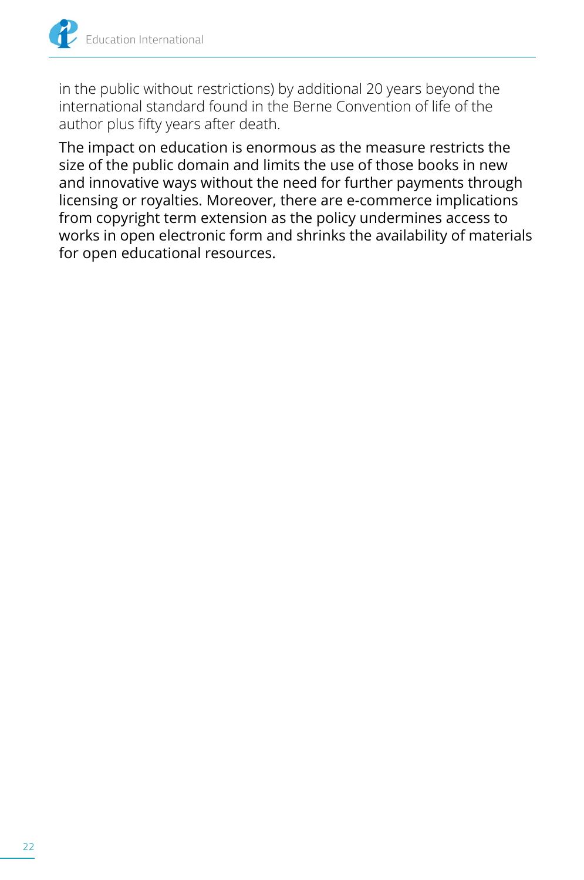

in the public without restrictions) by additional 20 years beyond the international standard found in the Berne Convention of life of the author plus fifty years after death.

The impact on education is enormous as the measure restricts the size of the public domain and limits the use of those books in new and innovative ways without the need for further payments through licensing or royalties. Moreover, there are e-commerce implications from copyright term extension as the policy undermines access to works in open electronic form and shrinks the availability of materials for open educational resources.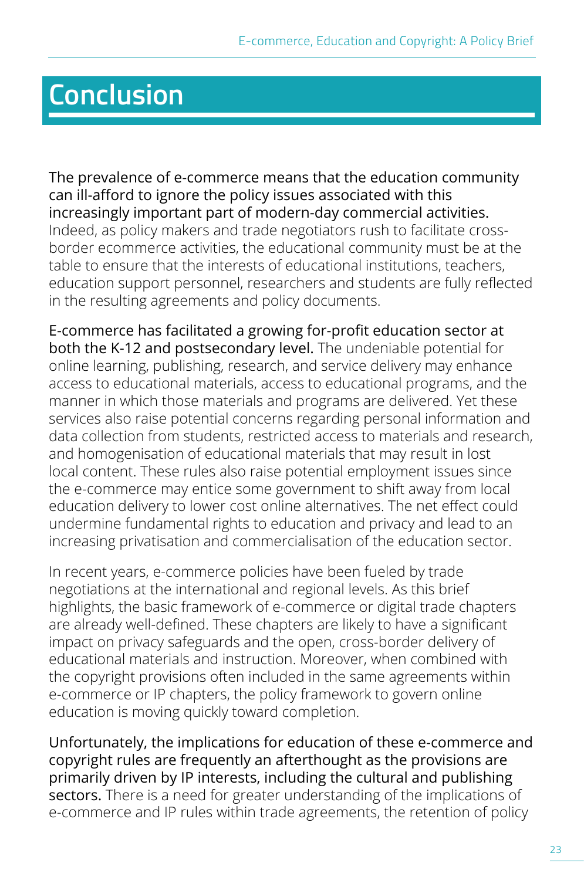## <span id="page-26-0"></span>**Conclusion**

The prevalence of e-commerce means that the education community can ill-afford to ignore the policy issues associated with this increasingly important part of modern-day commercial activities. Indeed, as policy makers and trade negotiators rush to facilitate crossborder ecommerce activities, the educational community must be at the table to ensure that the interests of educational institutions, teachers, education support personnel, researchers and students are fully reflected in the resulting agreements and policy documents.

E-commerce has facilitated a growing for-profit education sector at both the K-12 and postsecondary level. The undeniable potential for online learning, publishing, research, and service delivery may enhance access to educational materials, access to educational programs, and the manner in which those materials and programs are delivered. Yet these services also raise potential concerns regarding personal information and data collection from students, restricted access to materials and research, and homogenisation of educational materials that may result in lost local content. These rules also raise potential employment issues since the e-commerce may entice some government to shift away from local education delivery to lower cost online alternatives. The net effect could undermine fundamental rights to education and privacy and lead to an increasing privatisation and commercialisation of the education sector.

In recent years, e-commerce policies have been fueled by trade negotiations at the international and regional levels. As this brief highlights, the basic framework of e-commerce or digital trade chapters are already well-defined. These chapters are likely to have a significant impact on privacy safeguards and the open, cross-border delivery of educational materials and instruction. Moreover, when combined with the copyright provisions often included in the same agreements within e-commerce or IP chapters, the policy framework to govern online education is moving quickly toward completion.

Unfortunately, the implications for education of these e-commerce and copyright rules are frequently an afterthought as the provisions are primarily driven by IP interests, including the cultural and publishing sectors. There is a need for greater understanding of the implications of e-commerce and IP rules within trade agreements, the retention of policy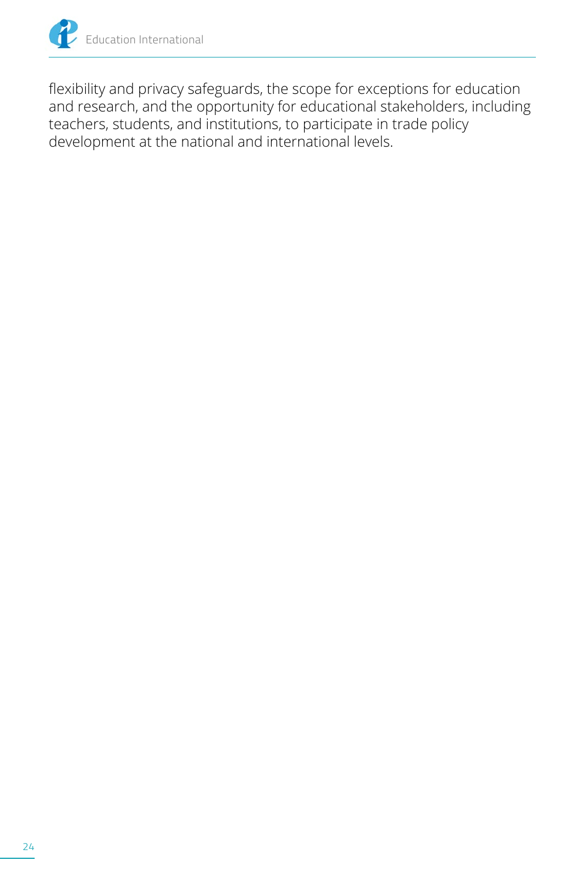

flexibility and privacy safeguards, the scope for exceptions for education and research, and the opportunity for educational stakeholders, including teachers, students, and institutions, to participate in trade policy development at the national and international levels.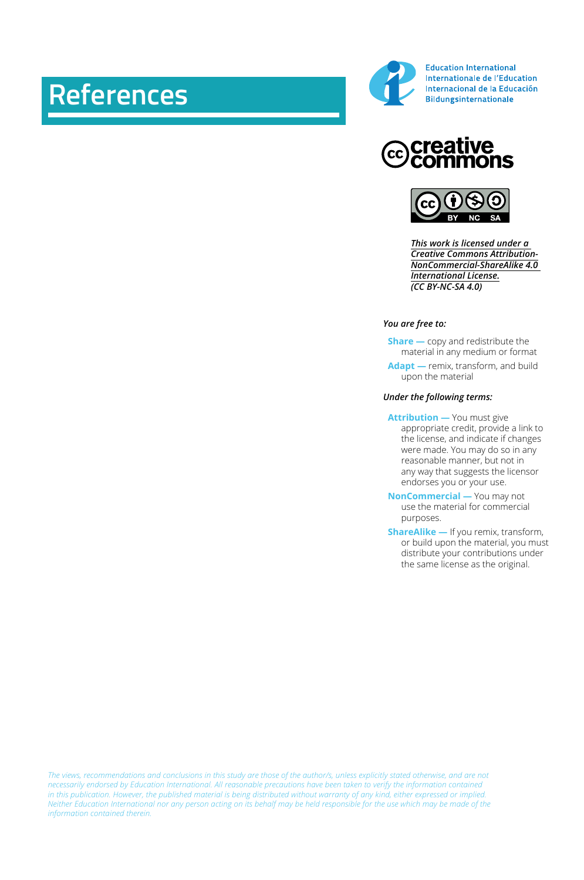## **References**



**Education International** Internationale de l'Education Internacional de la Educación **Bildungsinternationale** 





*[This work is licensed under a](https://creativecommons.org/licenses/by-nc-sa/4.0/)  [Creative Commons Attribution-](https://creativecommons.org/licenses/by-nc-sa/4.0/)[NonCommercial-ShareAlike 4.0](https://creativecommons.org/licenses/by-nc-sa/4.0/)  [International License.](https://creativecommons.org/licenses/by-nc-sa/4.0/) (CC BY-NC-SA 4.0)*

#### *You are free to:*

**Share** — copy and redistribute the material in any medium or format

 **Adapt —** remix, transform, and build upon the material

#### *Under the following terms:*

 **Attribution —** You must give appropriate credit, provide a link to the license, and indicate if changes were made. You may do so in any reasonable manner, but not in any way that suggests the licensor endorses you or your use.

 **NonCommercial —** You may not use the material for commercial purposes.

 **ShareAlike —** If you remix, transform, or build upon the material, you must distribute your contributions under the same license as the original.

*The views, recommendations and conclusions in this study are those of the author/s, unless explicitly stated otherwise, and are not necessarily endorsed by Education International. All reasonable precautions have been taken to verify the information contained in this publication. However, the published material is being distributed without warranty of any kind, either expressed or implied. Neither Education International nor any person acting on its behalf may be held responsible for the use which may be made of the information contained therein.*